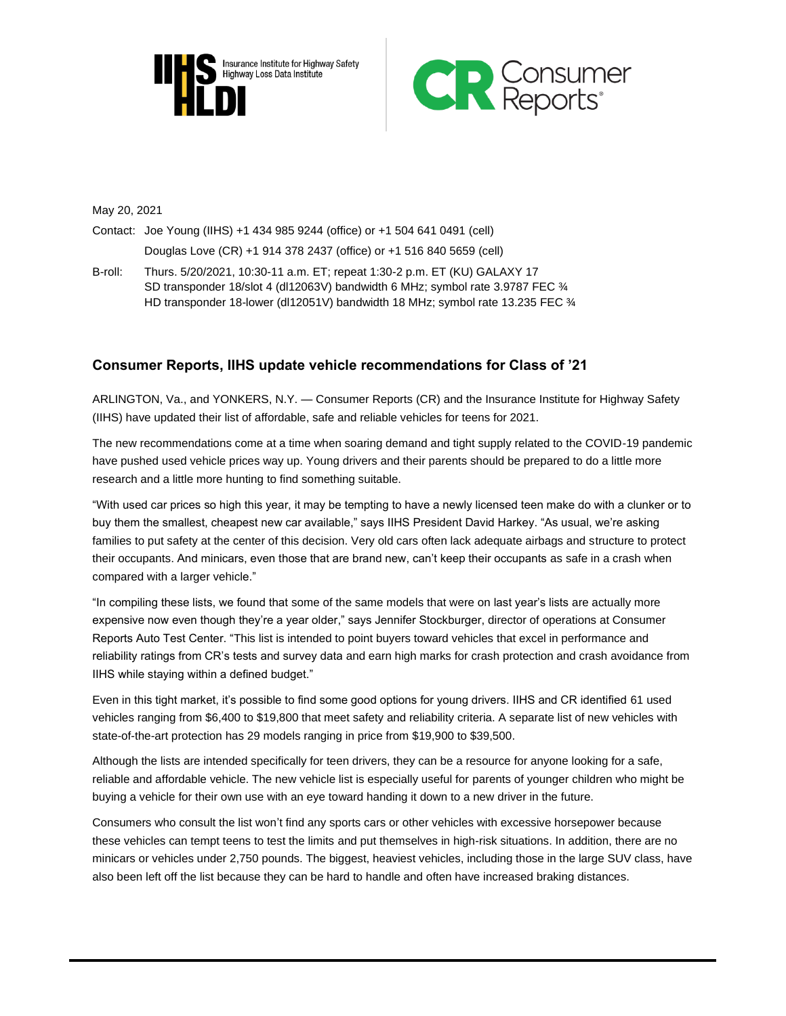



May 20, 2021

Contact: Joe Young (IIHS) +1 434 985 9244 (office) or +1 504 641 0491 (cell) Douglas Love (CR) +1 914 378 2437 (office) or +1 516 840 5659 (cell)

B-roll: Thurs. 5/20/2021, 10:30-11 a.m. ET; repeat 1:30-2 p.m. ET (KU) GALAXY 17 SD transponder 18/slot 4 (dl12063V) bandwidth 6 MHz; symbol rate 3.9787 FEC ¾ HD transponder 18-lower (dl12051V) bandwidth 18 MHz; symbol rate 13.235 FEC 34

# **Consumer Reports, IIHS update vehicle recommendations for Class of '21**

ARLINGTON, Va., and YONKERS, N.Y. — Consumer Reports (CR) and the Insurance Institute for Highway Safety (IIHS) have updated their list of affordable, safe and reliable vehicles for teens for 2021.

The new recommendations come at a time when soaring demand and tight supply related to the COVID-19 pandemic have pushed used vehicle prices way up. Young drivers and their parents should be prepared to do a little more research and a little more hunting to find something suitable.

"With used car prices so high this year, it may be tempting to have a newly licensed teen make do with a clunker or to buy them the smallest, cheapest new car available," says IIHS President David Harkey. "As usual, we're asking families to put safety at the center of this decision. Very old cars often lack adequate airbags and structure to protect their occupants. And minicars, even those that are brand new, can't keep their occupants as safe in a crash when compared with a larger vehicle."

"In compiling these lists, we found that some of the same models that were on last year's lists are actually more expensive now even though they're a year older," says Jennifer Stockburger, director of operations at Consumer Reports Auto Test Center. "This list is intended to point buyers toward vehicles that excel in performance and reliability ratings from CR's tests and survey data and earn high marks for crash protection and crash avoidance from IIHS while staying within a defined budget."

Even in this tight market, it's possible to find some good options for young drivers. IIHS and CR identified 61 used vehicles ranging from \$6,400 to \$19,800 that meet safety and reliability criteria. A separate list of new vehicles with state-of-the-art protection has 29 models ranging in price from \$19,900 to \$39,500.

Although the lists are intended specifically for teen drivers, they can be a resource for anyone looking for a safe, reliable and affordable vehicle. The new vehicle list is especially useful for parents of younger children who might be buying a vehicle for their own use with an eye toward handing it down to a new driver in the future.

Consumers who consult the list won't find any sports cars or other vehicles with excessive horsepower because these vehicles can tempt teens to test the limits and put themselves in high-risk situations. In addition, there are no minicars or vehicles under 2,750 pounds. The biggest, heaviest vehicles, including those in the large SUV class, have also been left off the list because they can be hard to handle and often have increased braking distances.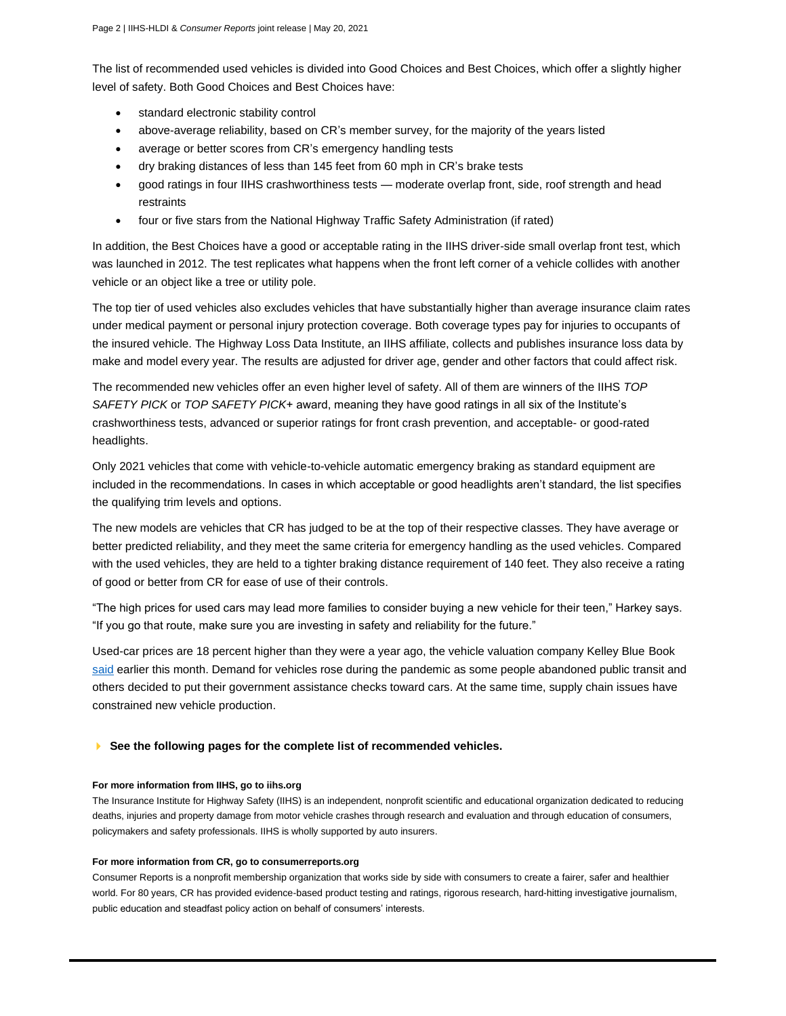The list of recommended used vehicles is divided into Good Choices and Best Choices, which offer a slightly higher level of safety. Both Good Choices and Best Choices have:

- standard electronic stability control
- above-average reliability, based on CR's member survey, for the majority of the years listed
- average or better scores from CR's emergency handling tests
- dry braking distances of less than 145 feet from 60 mph in CR's brake tests
- good ratings in four IIHS crashworthiness tests moderate overlap front, side, roof strength and head restraints
- four or five stars from the National Highway Traffic Safety Administration (if rated)

In addition, the Best Choices have a good or acceptable rating in the IIHS driver-side small overlap front test, which was launched in 2012. The test replicates what happens when the front left corner of a vehicle collides with another vehicle or an object like a tree or utility pole.

The top tier of used vehicles also excludes vehicles that have substantially higher than average insurance claim rates under medical payment or personal injury protection coverage. Both coverage types pay for injuries to occupants of the insured vehicle. The Highway Loss Data Institute, an IIHS affiliate, collects and publishes insurance loss data by make and model every year. The results are adjusted for driver age, gender and other factors that could affect risk.

The recommended new vehicles offer an even higher level of safety. All of them are winners of the IIHS *TOP SAFETY PICK* or *TOP SAFETY PICK*+ award, meaning they have good ratings in all six of the Institute's crashworthiness tests, advanced or superior ratings for front crash prevention, and acceptable- or good-rated headlights.

Only 2021 vehicles that come with vehicle-to-vehicle automatic emergency braking as standard equipment are included in the recommendations. In cases in which acceptable or good headlights aren't standard, the list specifies the qualifying trim levels and options.

The new models are vehicles that CR has judged to be at the top of their respective classes. They have average or better predicted reliability, and they meet the same criteria for emergency handling as the used vehicles. Compared with the used vehicles, they are held to a tighter braking distance requirement of 140 feet. They also receive a rating of good or better from CR for ease of use of their controls.

"The high prices for used cars may lead more families to consider buying a new vehicle for their teen," Harkey says. "If you go that route, make sure you are investing in safety and reliability for the future."

Used-car prices are 18 percent higher than they were a year ago, the vehicle valuation company Kelley Blue Book [said](https://mediaroom.kbb.com/2021-05-06-Now-is-Perfect-Time-to-Sell-or-Trade-In-Your-Car,-According-to-Kelley-Blue-Book-Market-Conditions-Prime-for-Peak-Consumer-Profit-Amid-Low-Inventory,-High-Prices) earlier this month. Demand for vehicles rose during the pandemic as some people abandoned public transit and others decided to put their government assistance checks toward cars. At the same time, supply chain issues have constrained new vehicle production.

### **See the following pages for the complete list of recommended vehicles.**

#### **For more information from IIHS, go to iihs.org**

The Insurance Institute for Highway Safety (IIHS) is an independent, nonprofit scientific and educational organization dedicated to reducing deaths, injuries and property damage from motor vehicle crashes through research and evaluation and through education of consumers, policymakers and safety professionals. IIHS is wholly supported by auto insurers.

#### **For more information from CR, go to consumerreports.org**

Consumer Reports is a nonprofit membership organization that works side by side with consumers to create a fairer, safer and healthier world. For 80 years, CR has provided evidence-based product testing and ratings, rigorous research, hard-hitting investigative journalism, public education and steadfast policy action on behalf of consumers' interests.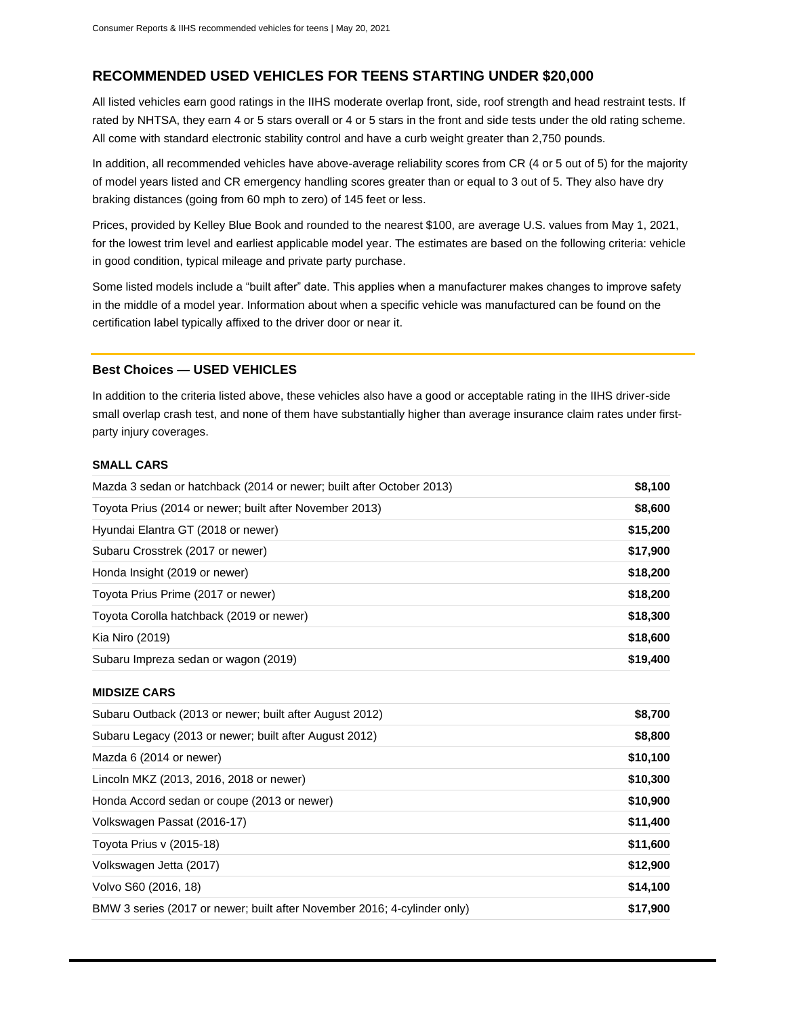# **RECOMMENDED USED VEHICLES FOR TEENS STARTING UNDER \$20,000**

All listed vehicles earn good ratings in the IIHS moderate overlap front, side, roof strength and head restraint tests. If rated by NHTSA, they earn 4 or 5 stars overall or 4 or 5 stars in the front and side tests under the old rating scheme. All come with standard electronic stability control and have a curb weight greater than 2,750 pounds.

In addition, all recommended vehicles have above-average reliability scores from CR (4 or 5 out of 5) for the majority of model years listed and CR emergency handling scores greater than or equal to 3 out of 5. They also have dry braking distances (going from 60 mph to zero) of 145 feet or less.

Prices, provided by Kelley Blue Book and rounded to the nearest \$100, are average U.S. values from May 1, 2021, for the lowest trim level and earliest applicable model year. The estimates are based on the following criteria: vehicle in good condition, typical mileage and private party purchase.

Some listed models include a "built after" date. This applies when a manufacturer makes changes to improve safety in the middle of a model year. Information about when a specific vehicle was manufactured can be found on the certification label typically affixed to the driver door or near it.

## **Best Choices — USED VEHICLES**

In addition to the criteria listed above, these vehicles also have a good or acceptable rating in the IIHS driver-side small overlap crash test, and none of them have substantially higher than average insurance claim rates under firstparty injury coverages.

## **SMALL CARS**

| Mazda 3 sedan or hatchback (2014 or newer; built after October 2013)     | \$8,100  |
|--------------------------------------------------------------------------|----------|
| Toyota Prius (2014 or newer; built after November 2013)                  | \$8,600  |
| Hyundai Elantra GT (2018 or newer)                                       | \$15,200 |
| Subaru Crosstrek (2017 or newer)                                         | \$17,900 |
| Honda Insight (2019 or newer)                                            | \$18,200 |
| Toyota Prius Prime (2017 or newer)                                       | \$18,200 |
| Toyota Corolla hatchback (2019 or newer)                                 | \$18,300 |
| Kia Niro (2019)                                                          | \$18,600 |
| Subaru Impreza sedan or wagon (2019)                                     | \$19,400 |
| <b>MIDSIZE CARS</b>                                                      |          |
| Subaru Outback (2013 or newer; built after August 2012)                  | \$8,700  |
| Subaru Legacy (2013 or newer; built after August 2012)                   | \$8,800  |
| Mazda 6 (2014 or newer)                                                  | \$10,100 |
| Lincoln MKZ (2013, 2016, 2018 or newer)                                  | \$10,300 |
| Honda Accord sedan or coupe (2013 or newer)                              | \$10,900 |
| Volkswagen Passat (2016-17)                                              | \$11,400 |
| Toyota Prius v (2015-18)                                                 | \$11,600 |
| Volkswagen Jetta (2017)                                                  | \$12,900 |
| Volvo S60 (2016, 18)                                                     | \$14,100 |
| BMW 3 series (2017 or newer; built after November 2016; 4-cylinder only) | \$17,900 |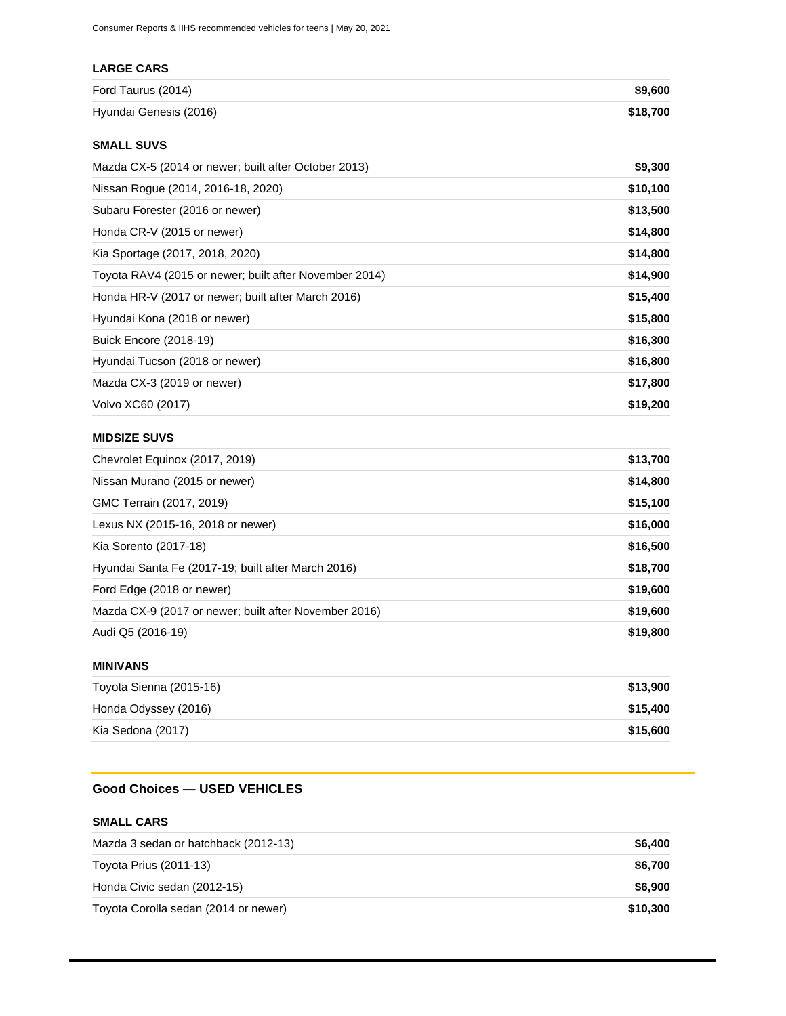# **LARGE CARS**

| Ford Taurus (2014)     | \$9,600  |
|------------------------|----------|
| Hyundai Genesis (2016) | \$18.700 |

## **SMALL SUVS**

| Mazda CX-5 (2014 or newer; built after October 2013)   | \$9,300  |
|--------------------------------------------------------|----------|
| Nissan Rogue (2014, 2016-18, 2020)                     | \$10,100 |
| Subaru Forester (2016 or newer)                        | \$13,500 |
| Honda CR-V (2015 or newer)                             | \$14,800 |
| Kia Sportage (2017, 2018, 2020)                        | \$14,800 |
| Toyota RAV4 (2015 or newer; built after November 2014) | \$14,900 |
| Honda HR-V (2017 or newer; built after March 2016)     | \$15,400 |
| Hyundai Kona (2018 or newer)                           | \$15,800 |
| <b>Buick Encore (2018-19)</b>                          | \$16,300 |
| Hyundai Tucson (2018 or newer)                         | \$16,800 |
| Mazda CX-3 (2019 or newer)                             | \$17,800 |
| Volvo XC60 (2017)                                      | \$19,200 |

## **MIDSIZE SUVS**

| Chevrolet Equinox (2017, 2019)                        | \$13,700 |
|-------------------------------------------------------|----------|
| Nissan Murano (2015 or newer)                         | \$14,800 |
| GMC Terrain (2017, 2019)                              | \$15,100 |
| Lexus NX (2015-16, 2018 or newer)                     | \$16,000 |
| Kia Sorento (2017-18)                                 | \$16,500 |
| Hyundai Santa Fe (2017-19; built after March 2016)    | \$18,700 |
| Ford Edge (2018 or newer)                             | \$19,600 |
| Mazda CX-9 (2017 or newer; built after November 2016) | \$19,600 |
| Audi Q5 (2016-19)                                     | \$19,800 |

## **MINIVANS**

| Toyota Sienna (2015-16) | \$13,900 |
|-------------------------|----------|
| Honda Odyssey (2016)    | \$15,400 |
| Kia Sedona (2017)       | \$15,600 |

# **Good Choices — USED VEHICLES**

## **SMALL CARS**

| Mazda 3 sedan or hatchback (2012-13) | \$6.400  |
|--------------------------------------|----------|
| Toyota Prius (2011-13)               | \$6.700  |
| Honda Civic sedan (2012-15)          | \$6.900  |
| Toyota Corolla sedan (2014 or newer) | \$10.300 |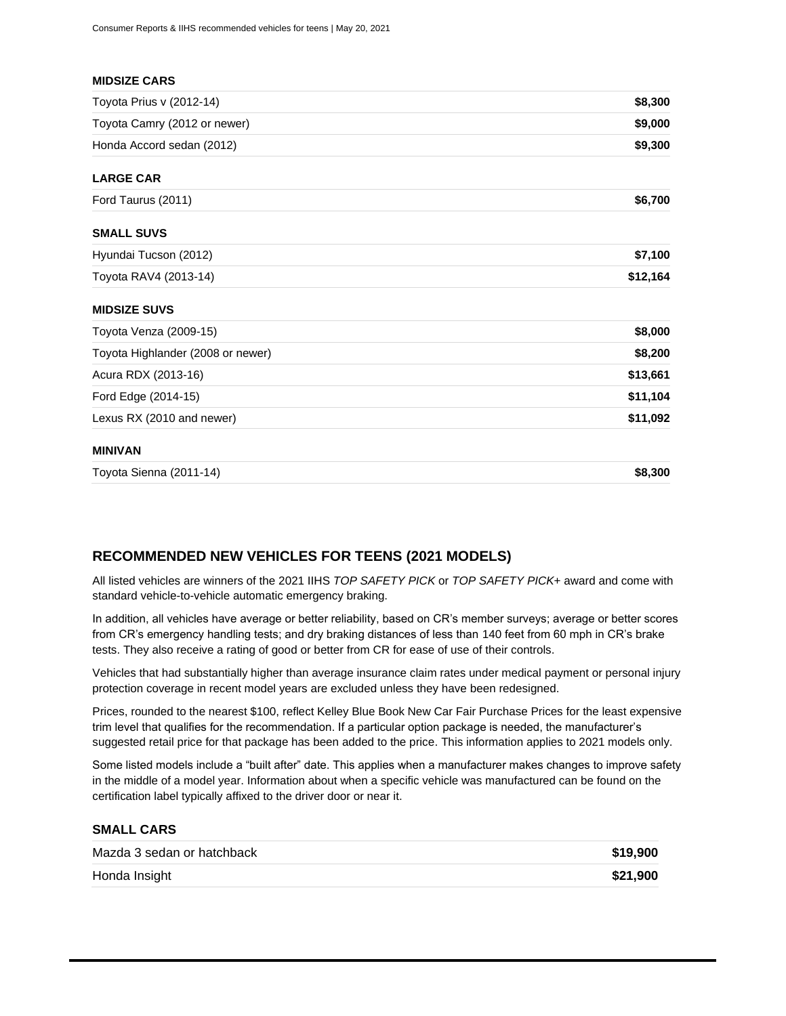| Toyota Sienna (2011-14)           | \$8,300  |
|-----------------------------------|----------|
| <b>MINIVAN</b>                    |          |
| Lexus RX (2010 and newer)         | \$11,092 |
| Ford Edge (2014-15)               | \$11,104 |
| Acura RDX (2013-16)               | \$13,661 |
| Toyota Highlander (2008 or newer) | \$8,200  |
| Toyota Venza (2009-15)            | \$8,000  |
| <b>MIDSIZE SUVS</b>               |          |
| Toyota RAV4 (2013-14)             | \$12,164 |
| Hyundai Tucson (2012)             | \$7,100  |
| <b>SMALL SUVS</b>                 |          |
| Ford Taurus (2011)                | \$6,700  |
| <b>LARGE CAR</b>                  |          |
| Honda Accord sedan (2012)         | \$9,300  |
| Toyota Camry (2012 or newer)      | \$9,000  |
| Toyota Prius v (2012-14)          | \$8,300  |

## **RECOMMENDED NEW VEHICLES FOR TEENS (2021 MODELS)**

All listed vehicles are winners of the 2021 IIHS *TOP SAFETY PICK* or *TOP SAFETY PICK*+ award and come with standard vehicle-to-vehicle automatic emergency braking.

In addition, all vehicles have average or better reliability, based on CR's member surveys; average or better scores from CR's emergency handling tests; and dry braking distances of less than 140 feet from 60 mph in CR's brake tests. They also receive a rating of good or better from CR for ease of use of their controls.

Vehicles that had substantially higher than average insurance claim rates under medical payment or personal injury protection coverage in recent model years are excluded unless they have been redesigned.

Prices, rounded to the nearest \$100, reflect Kelley Blue Book New Car Fair Purchase Prices for the least expensive trim level that qualifies for the recommendation. If a particular option package is needed, the manufacturer's suggested retail price for that package has been added to the price. This information applies to 2021 models only.

Some listed models include a "built after" date. This applies when a manufacturer makes changes to improve safety in the middle of a model year. Information about when a specific vehicle was manufactured can be found on the certification label typically affixed to the driver door or near it.

### **SMALL CARS**

| Mazda 3 sedan or hatchback | \$19,900 |
|----------------------------|----------|
| Honda Insight              | \$21,900 |
|                            |          |